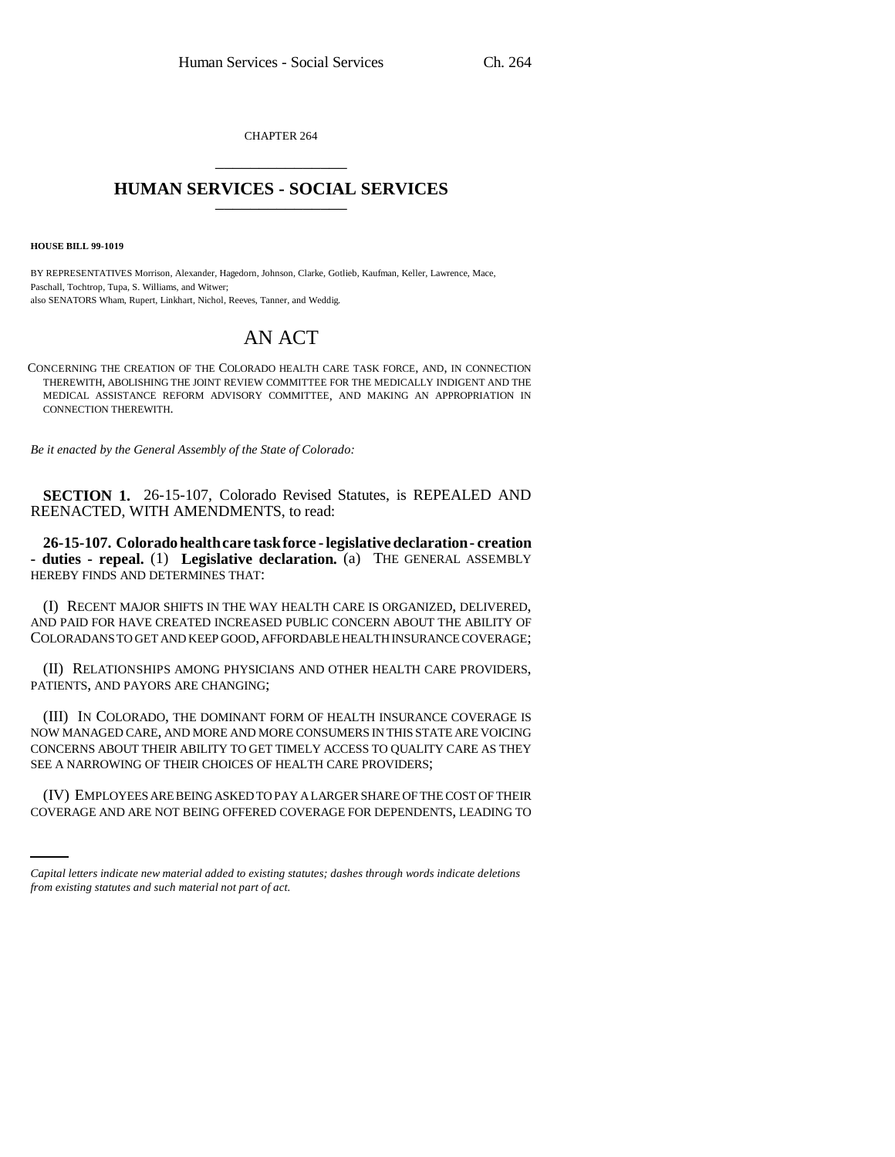CHAPTER 264 \_\_\_\_\_\_\_\_\_\_\_\_\_\_\_

## **HUMAN SERVICES - SOCIAL SERVICES** \_\_\_\_\_\_\_\_\_\_\_\_\_\_\_

**HOUSE BILL 99-1019** 

BY REPRESENTATIVES Morrison, Alexander, Hagedorn, Johnson, Clarke, Gotlieb, Kaufman, Keller, Lawrence, Mace, Paschall, Tochtrop, Tupa, S. Williams, and Witwer; also SENATORS Wham, Rupert, Linkhart, Nichol, Reeves, Tanner, and Weddig.

## AN ACT

CONCERNING THE CREATION OF THE COLORADO HEALTH CARE TASK FORCE, AND, IN CONNECTION THEREWITH, ABOLISHING THE JOINT REVIEW COMMITTEE FOR THE MEDICALLY INDIGENT AND THE MEDICAL ASSISTANCE REFORM ADVISORY COMMITTEE, AND MAKING AN APPROPRIATION IN CONNECTION THEREWITH.

*Be it enacted by the General Assembly of the State of Colorado:*

**SECTION 1.** 26-15-107, Colorado Revised Statutes, is REPEALED AND REENACTED, WITH AMENDMENTS, to read:

**26-15-107. Colorado health care task force - legislative declaration - creation - duties - repeal.** (1) **Legislative declaration.** (a) THE GENERAL ASSEMBLY HEREBY FINDS AND DETERMINES THAT:

(I) RECENT MAJOR SHIFTS IN THE WAY HEALTH CARE IS ORGANIZED, DELIVERED, AND PAID FOR HAVE CREATED INCREASED PUBLIC CONCERN ABOUT THE ABILITY OF COLORADANS TO GET AND KEEP GOOD, AFFORDABLE HEALTH INSURANCE COVERAGE;

(II) RELATIONSHIPS AMONG PHYSICIANS AND OTHER HEALTH CARE PROVIDERS, PATIENTS, AND PAYORS ARE CHANGING;

(III) IN COLORADO, THE DOMINANT FORM OF HEALTH INSURANCE COVERAGE IS NOW MANAGED CARE, AND MORE AND MORE CONSUMERS IN THIS STATE ARE VOICING CONCERNS ABOUT THEIR ABILITY TO GET TIMELY ACCESS TO QUALITY CARE AS THEY SEE A NARROWING OF THEIR CHOICES OF HEALTH CARE PROVIDERS;

 (IV) EMPLOYEES ARE BEING ASKED TO PAY A LARGER SHARE OF THE COST OF THEIR COVERAGE AND ARE NOT BEING OFFERED COVERAGE FOR DEPENDENTS, LEADING TO

*Capital letters indicate new material added to existing statutes; dashes through words indicate deletions from existing statutes and such material not part of act.*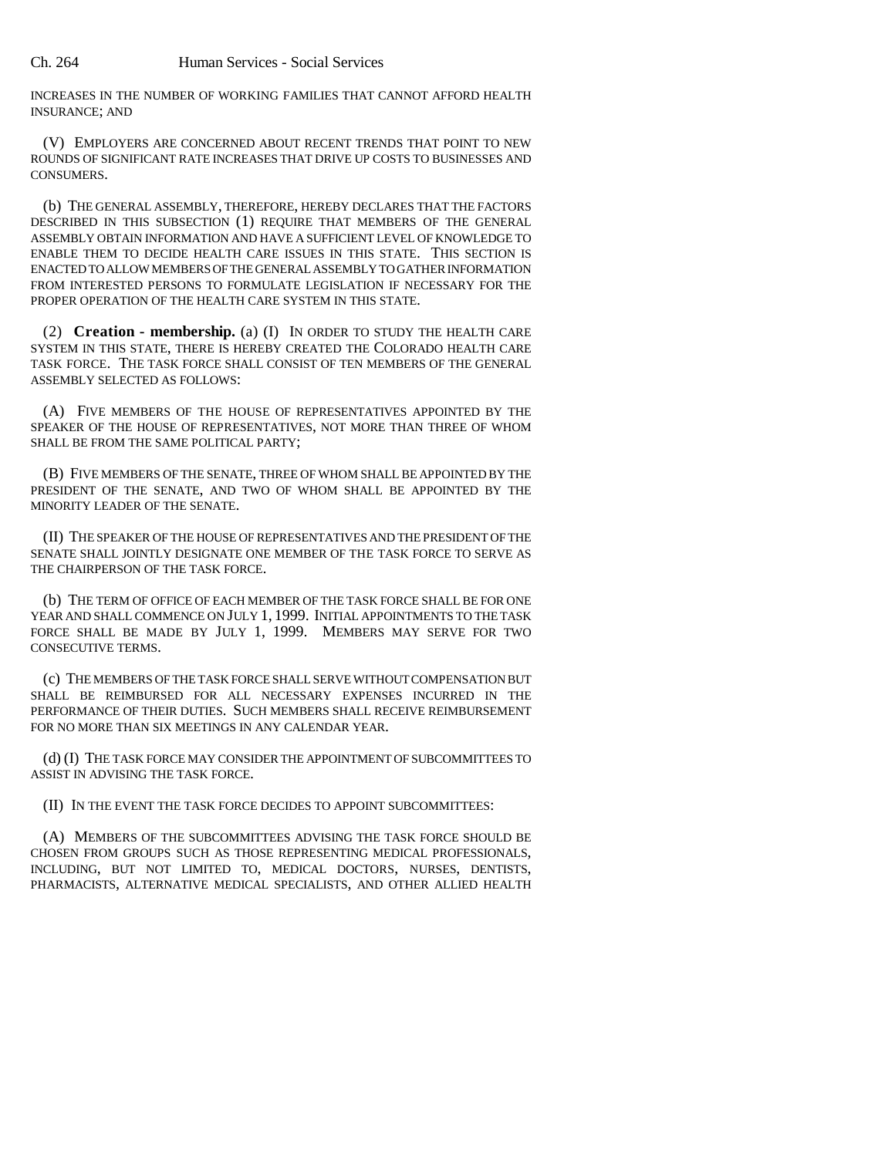INCREASES IN THE NUMBER OF WORKING FAMILIES THAT CANNOT AFFORD HEALTH INSURANCE; AND

(V) EMPLOYERS ARE CONCERNED ABOUT RECENT TRENDS THAT POINT TO NEW ROUNDS OF SIGNIFICANT RATE INCREASES THAT DRIVE UP COSTS TO BUSINESSES AND CONSUMERS.

(b) THE GENERAL ASSEMBLY, THEREFORE, HEREBY DECLARES THAT THE FACTORS DESCRIBED IN THIS SUBSECTION (1) REQUIRE THAT MEMBERS OF THE GENERAL ASSEMBLY OBTAIN INFORMATION AND HAVE A SUFFICIENT LEVEL OF KNOWLEDGE TO ENABLE THEM TO DECIDE HEALTH CARE ISSUES IN THIS STATE. THIS SECTION IS ENACTED TO ALLOW MEMBERS OF THE GENERAL ASSEMBLY TO GATHER INFORMATION FROM INTERESTED PERSONS TO FORMULATE LEGISLATION IF NECESSARY FOR THE PROPER OPERATION OF THE HEALTH CARE SYSTEM IN THIS STATE.

(2) **Creation - membership.** (a) (I) IN ORDER TO STUDY THE HEALTH CARE SYSTEM IN THIS STATE, THERE IS HEREBY CREATED THE COLORADO HEALTH CARE TASK FORCE. THE TASK FORCE SHALL CONSIST OF TEN MEMBERS OF THE GENERAL ASSEMBLY SELECTED AS FOLLOWS:

(A) FIVE MEMBERS OF THE HOUSE OF REPRESENTATIVES APPOINTED BY THE SPEAKER OF THE HOUSE OF REPRESENTATIVES, NOT MORE THAN THREE OF WHOM SHALL BE FROM THE SAME POLITICAL PARTY;

(B) FIVE MEMBERS OF THE SENATE, THREE OF WHOM SHALL BE APPOINTED BY THE PRESIDENT OF THE SENATE, AND TWO OF WHOM SHALL BE APPOINTED BY THE MINORITY LEADER OF THE SENATE.

(II) THE SPEAKER OF THE HOUSE OF REPRESENTATIVES AND THE PRESIDENT OF THE SENATE SHALL JOINTLY DESIGNATE ONE MEMBER OF THE TASK FORCE TO SERVE AS THE CHAIRPERSON OF THE TASK FORCE.

(b) THE TERM OF OFFICE OF EACH MEMBER OF THE TASK FORCE SHALL BE FOR ONE YEAR AND SHALL COMMENCE ON JULY 1, 1999. INITIAL APPOINTMENTS TO THE TASK FORCE SHALL BE MADE BY JULY 1, 1999. MEMBERS MAY SERVE FOR TWO CONSECUTIVE TERMS.

(c) THE MEMBERS OF THE TASK FORCE SHALL SERVE WITHOUT COMPENSATION BUT SHALL BE REIMBURSED FOR ALL NECESSARY EXPENSES INCURRED IN THE PERFORMANCE OF THEIR DUTIES. SUCH MEMBERS SHALL RECEIVE REIMBURSEMENT FOR NO MORE THAN SIX MEETINGS IN ANY CALENDAR YEAR.

(d) (I) THE TASK FORCE MAY CONSIDER THE APPOINTMENT OF SUBCOMMITTEES TO ASSIST IN ADVISING THE TASK FORCE.

(II) IN THE EVENT THE TASK FORCE DECIDES TO APPOINT SUBCOMMITTEES:

(A) MEMBERS OF THE SUBCOMMITTEES ADVISING THE TASK FORCE SHOULD BE CHOSEN FROM GROUPS SUCH AS THOSE REPRESENTING MEDICAL PROFESSIONALS, INCLUDING, BUT NOT LIMITED TO, MEDICAL DOCTORS, NURSES, DENTISTS, PHARMACISTS, ALTERNATIVE MEDICAL SPECIALISTS, AND OTHER ALLIED HEALTH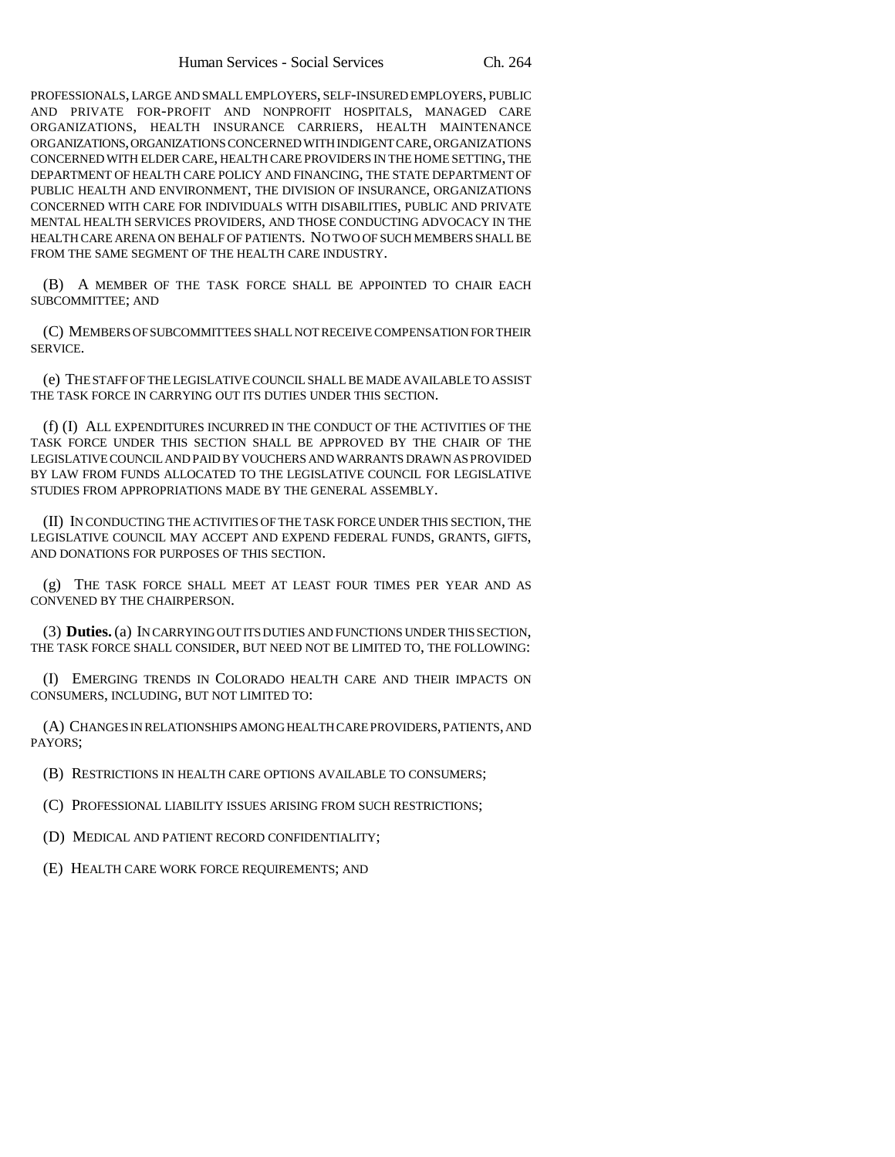PROFESSIONALS, LARGE AND SMALL EMPLOYERS, SELF-INSURED EMPLOYERS, PUBLIC AND PRIVATE FOR-PROFIT AND NONPROFIT HOSPITALS, MANAGED CARE ORGANIZATIONS, HEALTH INSURANCE CARRIERS, HEALTH MAINTENANCE ORGANIZATIONS, ORGANIZATIONS CONCERNED WITH INDIGENT CARE, ORGANIZATIONS CONCERNED WITH ELDER CARE, HEALTH CARE PROVIDERS IN THE HOME SETTING, THE DEPARTMENT OF HEALTH CARE POLICY AND FINANCING, THE STATE DEPARTMENT OF PUBLIC HEALTH AND ENVIRONMENT, THE DIVISION OF INSURANCE, ORGANIZATIONS CONCERNED WITH CARE FOR INDIVIDUALS WITH DISABILITIES, PUBLIC AND PRIVATE MENTAL HEALTH SERVICES PROVIDERS, AND THOSE CONDUCTING ADVOCACY IN THE HEALTH CARE ARENA ON BEHALF OF PATIENTS. NO TWO OF SUCH MEMBERS SHALL BE FROM THE SAME SEGMENT OF THE HEALTH CARE INDUSTRY.

(B) A MEMBER OF THE TASK FORCE SHALL BE APPOINTED TO CHAIR EACH SUBCOMMITTEE; AND

(C) MEMBERS OF SUBCOMMITTEES SHALL NOT RECEIVE COMPENSATION FOR THEIR SERVICE.

(e) THE STAFF OF THE LEGISLATIVE COUNCIL SHALL BE MADE AVAILABLE TO ASSIST THE TASK FORCE IN CARRYING OUT ITS DUTIES UNDER THIS SECTION.

(f) (I) ALL EXPENDITURES INCURRED IN THE CONDUCT OF THE ACTIVITIES OF THE TASK FORCE UNDER THIS SECTION SHALL BE APPROVED BY THE CHAIR OF THE LEGISLATIVE COUNCIL AND PAID BY VOUCHERS AND WARRANTS DRAWN AS PROVIDED BY LAW FROM FUNDS ALLOCATED TO THE LEGISLATIVE COUNCIL FOR LEGISLATIVE STUDIES FROM APPROPRIATIONS MADE BY THE GENERAL ASSEMBLY.

(II) IN CONDUCTING THE ACTIVITIES OF THE TASK FORCE UNDER THIS SECTION, THE LEGISLATIVE COUNCIL MAY ACCEPT AND EXPEND FEDERAL FUNDS, GRANTS, GIFTS, AND DONATIONS FOR PURPOSES OF THIS SECTION.

(g) THE TASK FORCE SHALL MEET AT LEAST FOUR TIMES PER YEAR AND AS CONVENED BY THE CHAIRPERSON.

(3) **Duties.** (a) IN CARRYING OUT ITS DUTIES AND FUNCTIONS UNDER THIS SECTION, THE TASK FORCE SHALL CONSIDER, BUT NEED NOT BE LIMITED TO, THE FOLLOWING:

(I) EMERGING TRENDS IN COLORADO HEALTH CARE AND THEIR IMPACTS ON CONSUMERS, INCLUDING, BUT NOT LIMITED TO:

(A) CHANGES IN RELATIONSHIPS AMONG HEALTH CARE PROVIDERS, PATIENTS, AND PAYORS;

- (B) RESTRICTIONS IN HEALTH CARE OPTIONS AVAILABLE TO CONSUMERS;
- (C) PROFESSIONAL LIABILITY ISSUES ARISING FROM SUCH RESTRICTIONS;
- (D) MEDICAL AND PATIENT RECORD CONFIDENTIALITY;
- (E) HEALTH CARE WORK FORCE REQUIREMENTS; AND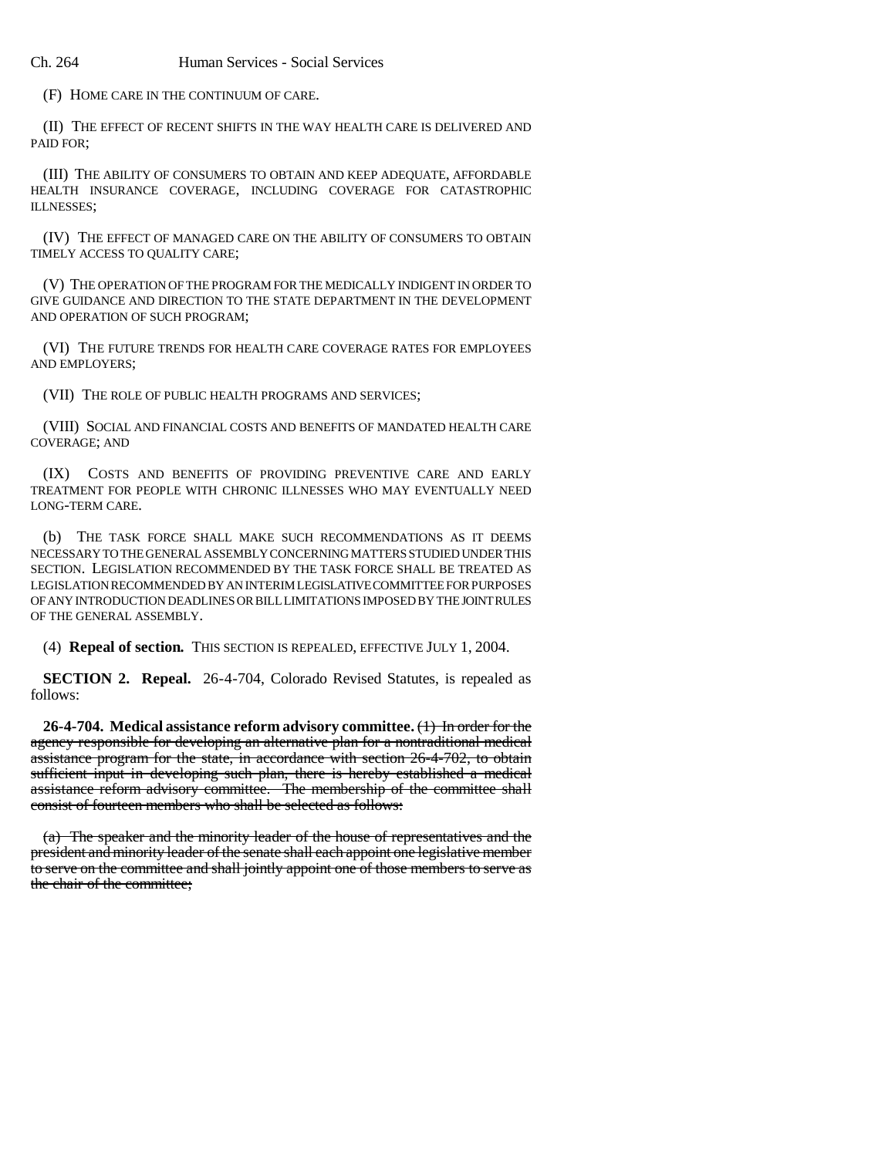(F) HOME CARE IN THE CONTINUUM OF CARE.

(II) THE EFFECT OF RECENT SHIFTS IN THE WAY HEALTH CARE IS DELIVERED AND PAID FOR;

(III) THE ABILITY OF CONSUMERS TO OBTAIN AND KEEP ADEQUATE, AFFORDABLE HEALTH INSURANCE COVERAGE, INCLUDING COVERAGE FOR CATASTROPHIC ILLNESSES;

(IV) THE EFFECT OF MANAGED CARE ON THE ABILITY OF CONSUMERS TO OBTAIN TIMELY ACCESS TO QUALITY CARE;

(V) THE OPERATION OF THE PROGRAM FOR THE MEDICALLY INDIGENT IN ORDER TO GIVE GUIDANCE AND DIRECTION TO THE STATE DEPARTMENT IN THE DEVELOPMENT AND OPERATION OF SUCH PROGRAM;

(VI) THE FUTURE TRENDS FOR HEALTH CARE COVERAGE RATES FOR EMPLOYEES AND EMPLOYERS;

(VII) THE ROLE OF PUBLIC HEALTH PROGRAMS AND SERVICES;

(VIII) SOCIAL AND FINANCIAL COSTS AND BENEFITS OF MANDATED HEALTH CARE COVERAGE; AND

(IX) COSTS AND BENEFITS OF PROVIDING PREVENTIVE CARE AND EARLY TREATMENT FOR PEOPLE WITH CHRONIC ILLNESSES WHO MAY EVENTUALLY NEED LONG-TERM CARE.

(b) THE TASK FORCE SHALL MAKE SUCH RECOMMENDATIONS AS IT DEEMS NECESSARY TO THE GENERAL ASSEMBLY CONCERNING MATTERS STUDIED UNDER THIS SECTION. LEGISLATION RECOMMENDED BY THE TASK FORCE SHALL BE TREATED AS LEGISLATION RECOMMENDED BY AN INTERIM LEGISLATIVE COMMITTEE FOR PURPOSES OF ANY INTRODUCTION DEADLINES OR BILL LIMITATIONS IMPOSED BY THE JOINT RULES OF THE GENERAL ASSEMBLY.

(4) **Repeal of section.** THIS SECTION IS REPEALED, EFFECTIVE JULY 1, 2004.

**SECTION 2. Repeal.** 26-4-704, Colorado Revised Statutes, is repealed as follows:

**26-4-704. Medical assistance reform advisory committee.** (1) In order for the agency responsible for developing an alternative plan for a nontraditional medical assistance program for the state, in accordance with section 26-4-702, to obtain sufficient input in developing such plan, there is hereby established a medical assistance reform advisory committee. The membership of the committee shall consist of fourteen members who shall be selected as follows:

(a) The speaker and the minority leader of the house of representatives and the president and minority leader of the senate shall each appoint one legislative member to serve on the committee and shall jointly appoint one of those members to serve as the chair of the committee;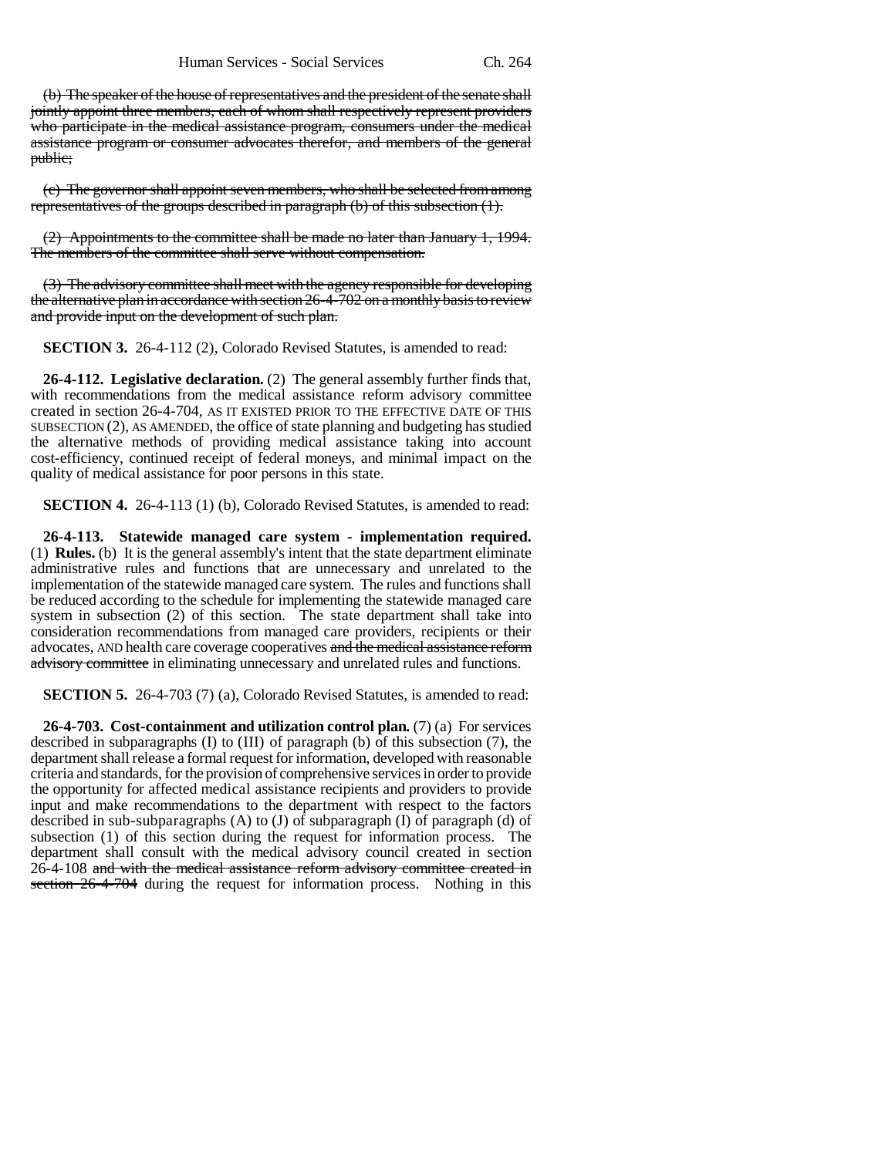(b) The speaker of the house of representatives and the president of the senate shall jointly appoint three members, each of whom shall respectively represent providers who participate in the medical assistance program, consumers under the medical assistance program or consumer advocates therefor, and members of the general public;

(c) The governor shall appoint seven members, who shall be selected from among representatives of the groups described in paragraph (b) of this subsection (1).

(2) Appointments to the committee shall be made no later than January 1, 1994. The members of the committee shall serve without compensation.

(3) The advisory committee shall meet with the agency responsible for developing the alternative plan in accordance with section 26-4-702 on a monthly basis to review and provide input on the development of such plan.

**SECTION 3.** 26-4-112 (2), Colorado Revised Statutes, is amended to read:

**26-4-112. Legislative declaration.** (2) The general assembly further finds that, with recommendations from the medical assistance reform advisory committee created in section 26-4-704, AS IT EXISTED PRIOR TO THE EFFECTIVE DATE OF THIS SUBSECTION (2), AS AMENDED, the office of state planning and budgeting has studied the alternative methods of providing medical assistance taking into account cost-efficiency, continued receipt of federal moneys, and minimal impact on the quality of medical assistance for poor persons in this state.

**SECTION 4.** 26-4-113 (1) (b), Colorado Revised Statutes, is amended to read:

**26-4-113. Statewide managed care system - implementation required.** (1) **Rules.** (b) It is the general assembly's intent that the state department eliminate administrative rules and functions that are unnecessary and unrelated to the implementation of the statewide managed care system. The rules and functions shall be reduced according to the schedule for implementing the statewide managed care system in subsection (2) of this section. The state department shall take into consideration recommendations from managed care providers, recipients or their advocates, AND health care coverage cooperatives and the medical assistance reform advisory committee in eliminating unnecessary and unrelated rules and functions.

**SECTION 5.** 26-4-703 (7) (a), Colorado Revised Statutes, is amended to read:

**26-4-703. Cost-containment and utilization control plan.** (7) (a) For services described in subparagraphs (I) to (III) of paragraph (b) of this subsection (7), the department shall release a formal request for information, developed with reasonable criteria and standards, for the provision of comprehensive services in order to provide the opportunity for affected medical assistance recipients and providers to provide input and make recommendations to the department with respect to the factors described in sub-subparagraphs  $(A)$  to  $(J)$  of subparagraph  $(I)$  of paragraph  $(d)$  of subsection (1) of this section during the request for information process. The department shall consult with the medical advisory council created in section 26-4-108 and with the medical assistance reform advisory committee created in section 26-4-704 during the request for information process. Nothing in this